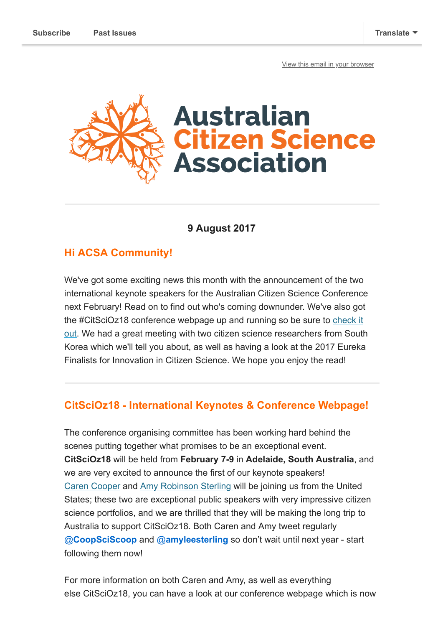[View this email in your browser](https://mailchi.mp/661e4a9d4fbe/citscioz18-guest-speakers-webpage-plus-a-visit-from-south-korea?e=[UNIQID])



### **9 August 2017**

# **Hi ACSA Community!**

We've got some exciting news this month with the announcement of the two international keynote speakers for the Australian Citizen Science Conference next February! Read on to find out who's coming downunder. We've also got [the #CitSciOz18 conference webpage up and running so be sure to check it](http://csna.gaiaresources.com.au/citscioz18-conference-information/) out. We had a great meeting with two citizen science researchers from South Korea which we'll tell you about, as well as having a look at the 2017 Eureka Finalists for Innovation in Citizen Science. We hope you enjoy the read!

# **CitSciOz18 - International Keynotes & Conference Webpage!**

The conference organising committee has been working hard behind the scenes putting together what promises to be an exceptional event. **CitSciOz18** will be held from **February 7-9** in **Adelaide, South Australia**, and we are very excited to announce the first of our keynote speakers! [Caren Cooper](https://faculty.cnr.ncsu.edu/carencooper/) and [Amy Robinson Sterling w](http://amy.world/about/)ill be joining us from the United States; these two are exceptional public speakers with very impressive citizen science portfolios, and we are thrilled that they will be making the long trip to Australia to support CitSciOz18. Both Caren and Amy tweet regularly @**CoopSciScoop** and @**amyleesterling** so don't wait until next year - start following them now!

For more information on both Caren and Amy, as well as everything else CitSciOz18, you can have a look at our conference webpage which is now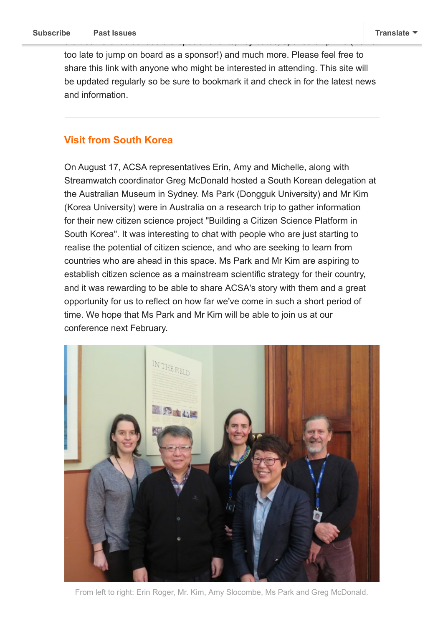too late to jump on board as a sponsor!) and much more. Please feel free to share this link with anyone who might be interested in attending. This site will be updated regularly so be sure to bookmark it and check in for the latest news and information.

draft conference schedule  $\alpha$  special events, special events, sponsorship info (it) info (it) info (it) info (it) info (it) info (it) info (it) info (it) info (it) info (it) info (it) info (it) info (it) info (it) info (

### **Visit from South Korea**

On August 17, ACSA representatives Erin, Amy and Michelle, along with Streamwatch coordinator Greg McDonald hosted a South Korean delegation at the Australian Museum in Sydney. Ms Park (Dongguk University) and Mr Kim (Korea University) were in Australia on a research trip to gather information for their new citizen science project "Building a Citizen Science Platform in South Korea". It was interesting to chat with people who are just starting to realise the potential of citizen science, and who are seeking to learn from countries who are ahead in this space. Ms Park and Mr Kim are aspiring to establish citizen science as a mainstream scientific strategy for their country, and it was rewarding to be able to share ACSA's story with them and a great opportunity for us to reflect on how far we've come in such a short period of time. We hope that Ms Park and Mr Kim will be able to join us at our conference next February.



From left to right: Erin Roger, Mr. Kim, Amy Slocombe, Ms Park and Greg McDonald.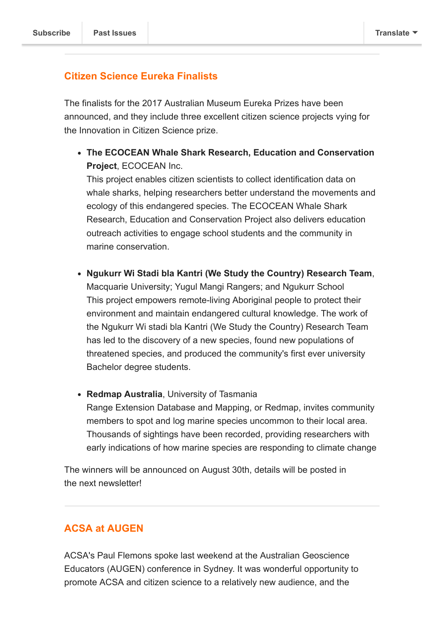# **Citizen Science Eureka Finalists**

The finalists for the 2017 Australian Museum Eureka Prizes have been announced, and they include three excellent citizen science projects vying for the Innovation in Citizen Science prize.

**The ECOCEAN Whale Shark Research, Education and Conservation Project**, ECOCEAN Inc.

This project enables citizen scientists to collect identification data on whale sharks, helping researchers better understand the movements and ecology of this endangered species. The ECOCEAN Whale Shark Research, Education and Conservation Project also delivers education outreach activities to engage school students and the community in marine conservation.

- **Ngukurr Wi Stadi bla Kantri (We Study the Country) Research Team**, Macquarie University; Yugul Mangi Rangers; and Ngukurr School This project empowers remote-living Aboriginal people to protect their environment and maintain endangered cultural knowledge. The work of the Ngukurr Wi stadi bla Kantri (We Study the Country) Research Team has led to the discovery of a new species, found new populations of threatened species, and produced the community's first ever university Bachelor degree students.
- **Redmap Australia**, University of Tasmania Range Extension Database and Mapping, or Redmap, invites community members to spot and log marine species uncommon to their local area. Thousands of sightings have been recorded, providing researchers with early indications of how marine species are responding to climate change

The winners will be announced on August 30th, details will be posted in the next newsletter!

# **ACSA at AUGEN**

ACSA's Paul Flemons spoke last weekend at the Australian Geoscience Educators (AUGEN) conference in Sydney. It was wonderful opportunity to promote ACSA and citizen science to a relatively new audience, and the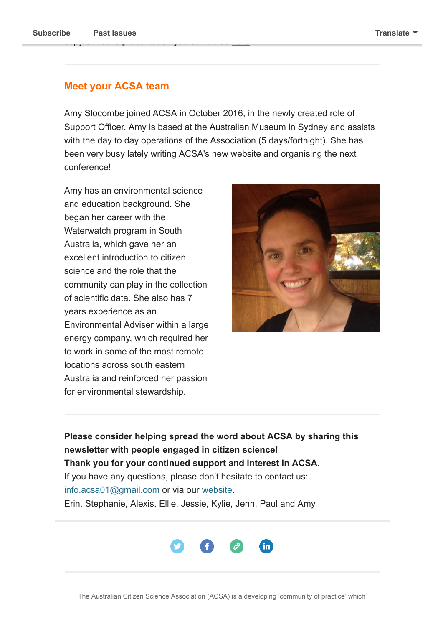copy of Paul's presentation you can do so [here.](http://csna.gaiaresources.com.au/wp-content/uploads/2017/08/ACSA-presentation-for-AUGEN_Aug2017.pptx)

#### **Meet your ACSA team**

Amy Slocombe joined ACSA in October 2016, in the newly created role of Support Officer. Amy is based at the Australian Museum in Sydney and assists with the day to day operations of the Association (5 days/fortnight). She has been very busy lately writing ACSA's new website and organising the next conference!

Amy has an environmental science and education background. She began her career with the Waterwatch program in South Australia, which gave her an excellent introduction to citizen science and the role that the community can play in the collection of scientific data. She also has 7 years experience as an Environmental Adviser within a large energy company, which required her to work in some of the most remote locations across south eastern Australia and reinforced her passion for environmental stewardship.



**Please consider helping spread the word about ACSA by sharing this newsletter with people engaged in citizen science! Thank you for your continued support and interest in ACSA.** If you have any questions, please don't hesitate to contact us: [info.acsa01@gmail.com](mailto:info.acsa01@gmail.com) or via our [website](http://csna.gaiaresources.com.au/wordpress/contact-us/). Erin, Stephanie, Alexis, Ellie, Jessie, Kylie, Jenn, Paul and Amy